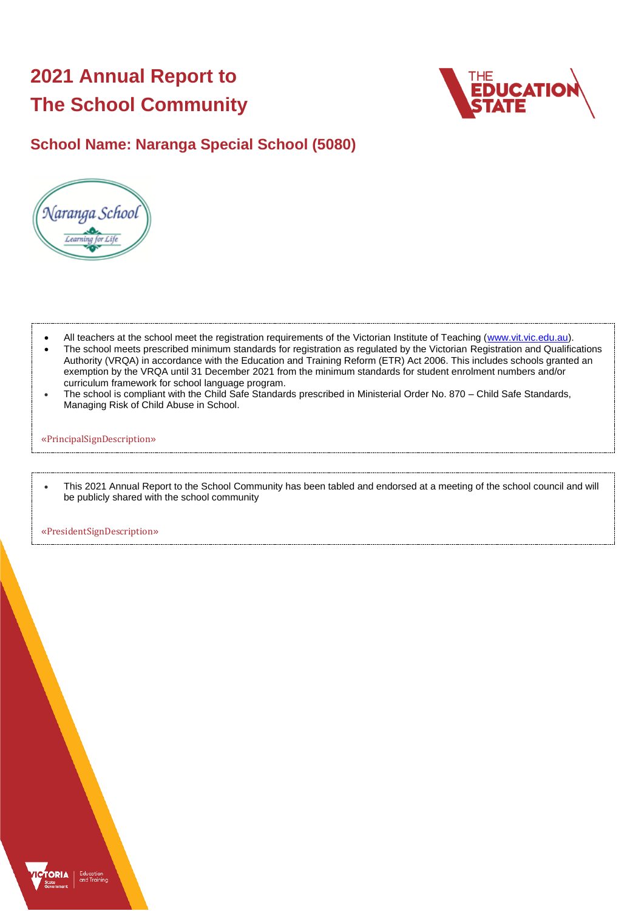# **2021 Annual Report to The School Community**



### **School Name: Naranga Special School (5080)**



- All teachers at the school meet the registration requirements of the Victorian Institute of Teaching [\(www.vit.vic.edu.au\)](https://www.vit.vic.edu.au/).
- The school meets prescribed minimum standards for registration as regulated by the Victorian Registration and Qualifications Authority (VRQA) in accordance with the Education and Training Reform (ETR) Act 2006. This includes schools granted an exemption by the VRQA until 31 December 2021 from the minimum standards for student enrolment numbers and/or curriculum framework for school language program.
- The school is compliant with the Child Safe Standards prescribed in Ministerial Order No. 870 Child Safe Standards, Managing Risk of Child Abuse in School.

#### «PrincipalSignDescription»

• This 2021 Annual Report to the School Community has been tabled and endorsed at a meeting of the school council and will be publicly shared with the school community

«PresidentSignDescription»

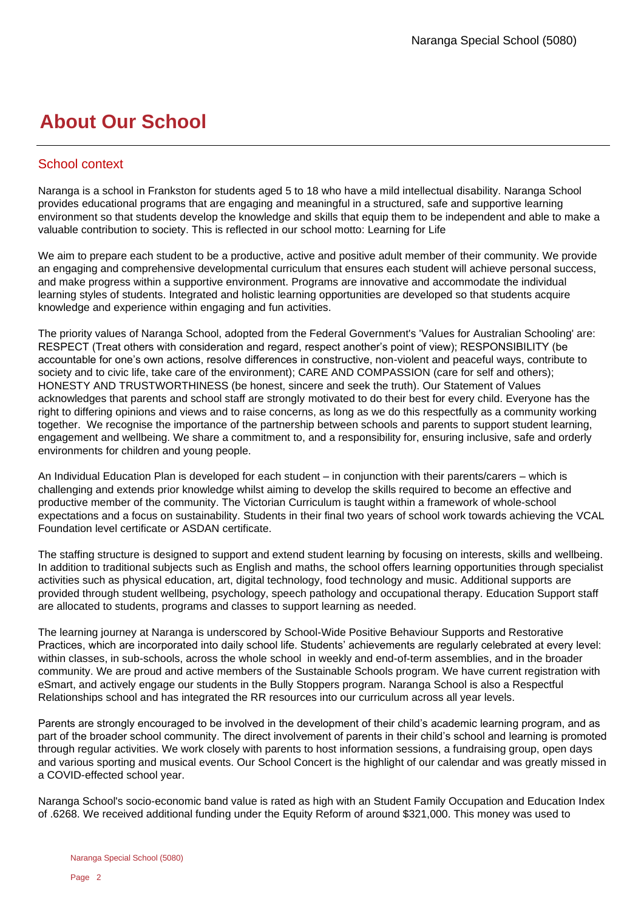## **About Our School**

#### School context

Naranga is a school in Frankston for students aged 5 to 18 who have a mild intellectual disability. Naranga School provides educational programs that are engaging and meaningful in a structured, safe and supportive learning environment so that students develop the knowledge and skills that equip them to be independent and able to make a valuable contribution to society. This is reflected in our school motto: Learning for Life

We aim to prepare each student to be a productive, active and positive adult member of their community. We provide an engaging and comprehensive developmental curriculum that ensures each student will achieve personal success, and make progress within a supportive environment. Programs are innovative and accommodate the individual learning styles of students. Integrated and holistic learning opportunities are developed so that students acquire knowledge and experience within engaging and fun activities.

The priority values of Naranga School, adopted from the Federal Government's 'Values for Australian Schooling' are: RESPECT (Treat others with consideration and regard, respect another's point of view); RESPONSIBILITY (be accountable for one's own actions, resolve differences in constructive, non-violent and peaceful ways, contribute to society and to civic life, take care of the environment); CARE AND COMPASSION (care for self and others); HONESTY AND TRUSTWORTHINESS (be honest, sincere and seek the truth). Our Statement of Values acknowledges that parents and school staff are strongly motivated to do their best for every child. Everyone has the right to differing opinions and views and to raise concerns, as long as we do this respectfully as a community working together. We recognise the importance of the partnership between schools and parents to support student learning, engagement and wellbeing. We share a commitment to, and a responsibility for, ensuring inclusive, safe and orderly environments for children and young people.

An Individual Education Plan is developed for each student – in conjunction with their parents/carers – which is challenging and extends prior knowledge whilst aiming to develop the skills required to become an effective and productive member of the community. The Victorian Curriculum is taught within a framework of whole-school expectations and a focus on sustainability. Students in their final two years of school work towards achieving the VCAL Foundation level certificate or ASDAN certificate.

The staffing structure is designed to support and extend student learning by focusing on interests, skills and wellbeing. In addition to traditional subjects such as English and maths, the school offers learning opportunities through specialist activities such as physical education, art, digital technology, food technology and music. Additional supports are provided through student wellbeing, psychology, speech pathology and occupational therapy. Education Support staff are allocated to students, programs and classes to support learning as needed.

The learning journey at Naranga is underscored by School-Wide Positive Behaviour Supports and Restorative Practices, which are incorporated into daily school life. Students' achievements are regularly celebrated at every level: within classes, in sub-schools, across the whole school in weekly and end-of-term assemblies, and in the broader community. We are proud and active members of the Sustainable Schools program. We have current registration with eSmart, and actively engage our students in the Bully Stoppers program. Naranga School is also a Respectful Relationships school and has integrated the RR resources into our curriculum across all year levels.

Parents are strongly encouraged to be involved in the development of their child's academic learning program, and as part of the broader school community. The direct involvement of parents in their child's school and learning is promoted through regular activities. We work closely with parents to host information sessions, a fundraising group, open days and various sporting and musical events. Our School Concert is the highlight of our calendar and was greatly missed in a COVID-effected school year.

Naranga School's socio-economic band value is rated as high with an Student Family Occupation and Education Index of .6268. We received additional funding under the Equity Reform of around \$321,000. This money was used to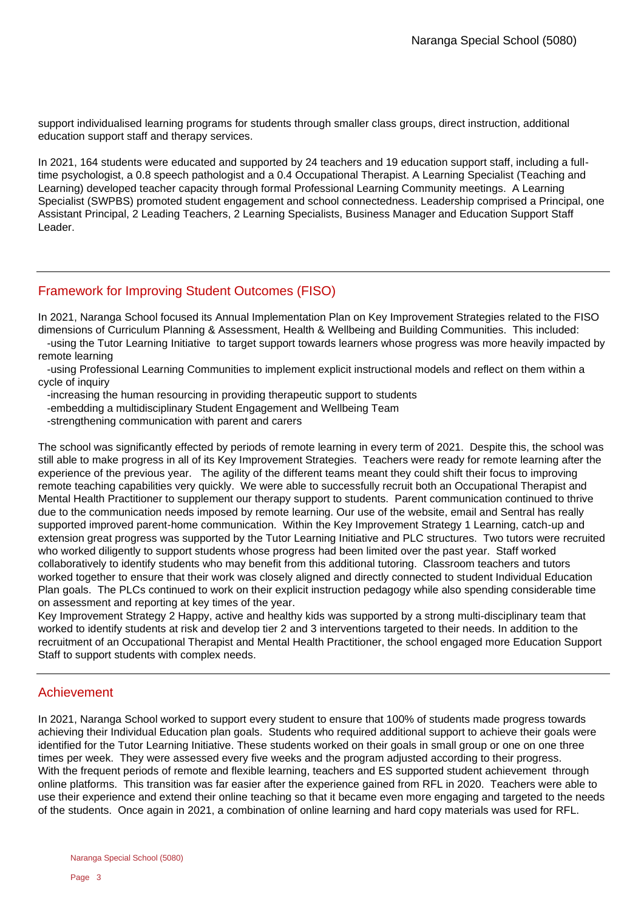support individualised learning programs for students through smaller class groups, direct instruction, additional education support staff and therapy services.

In 2021, 164 students were educated and supported by 24 teachers and 19 education support staff, including a fulltime psychologist, a 0.8 speech pathologist and a 0.4 Occupational Therapist. A Learning Specialist (Teaching and Learning) developed teacher capacity through formal Professional Learning Community meetings. A Learning Specialist (SWPBS) promoted student engagement and school connectedness. Leadership comprised a Principal, one Assistant Principal, 2 Leading Teachers, 2 Learning Specialists, Business Manager and Education Support Staff Leader.

#### Framework for Improving Student Outcomes (FISO)

In 2021, Naranga School focused its Annual Implementation Plan on Key Improvement Strategies related to the FISO dimensions of Curriculum Planning & Assessment, Health & Wellbeing and Building Communities. This included:

 -using the Tutor Learning Initiative to target support towards learners whose progress was more heavily impacted by remote learning

 -using Professional Learning Communities to implement explicit instructional models and reflect on them within a cycle of inquiry

-increasing the human resourcing in providing therapeutic support to students

-embedding a multidisciplinary Student Engagement and Wellbeing Team

-strengthening communication with parent and carers

The school was significantly effected by periods of remote learning in every term of 2021. Despite this, the school was still able to make progress in all of its Key Improvement Strategies. Teachers were ready for remote learning after the experience of the previous year. The agility of the different teams meant they could shift their focus to improving remote teaching capabilities very quickly. We were able to successfully recruit both an Occupational Therapist and Mental Health Practitioner to supplement our therapy support to students. Parent communication continued to thrive due to the communication needs imposed by remote learning. Our use of the website, email and Sentral has really supported improved parent-home communication. Within the Key Improvement Strategy 1 Learning, catch-up and extension great progress was supported by the Tutor Learning Initiative and PLC structures. Two tutors were recruited who worked diligently to support students whose progress had been limited over the past year. Staff worked collaboratively to identify students who may benefit from this additional tutoring. Classroom teachers and tutors worked together to ensure that their work was closely aligned and directly connected to student Individual Education Plan goals. The PLCs continued to work on their explicit instruction pedagogy while also spending considerable time on assessment and reporting at key times of the year.

Key Improvement Strategy 2 Happy, active and healthy kids was supported by a strong multi-disciplinary team that worked to identify students at risk and develop tier 2 and 3 interventions targeted to their needs. In addition to the recruitment of an Occupational Therapist and Mental Health Practitioner, the school engaged more Education Support Staff to support students with complex needs.

#### Achievement

In 2021, Naranga School worked to support every student to ensure that 100% of students made progress towards achieving their Individual Education plan goals. Students who required additional support to achieve their goals were identified for the Tutor Learning Initiative. These students worked on their goals in small group or one on one three times per week. They were assessed every five weeks and the program adjusted according to their progress. With the frequent periods of remote and flexible learning, teachers and ES supported student achievement through online platforms. This transition was far easier after the experience gained from RFL in 2020. Teachers were able to use their experience and extend their online teaching so that it became even more engaging and targeted to the needs of the students. Once again in 2021, a combination of online learning and hard copy materials was used for RFL.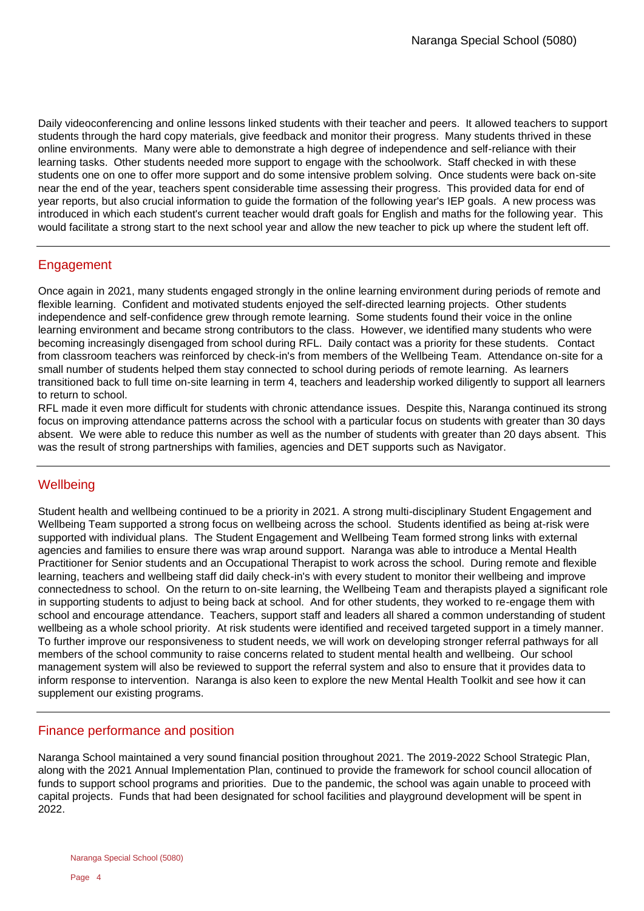Daily videoconferencing and online lessons linked students with their teacher and peers. It allowed teachers to support students through the hard copy materials, give feedback and monitor their progress. Many students thrived in these online environments. Many were able to demonstrate a high degree of independence and self-reliance with their learning tasks. Other students needed more support to engage with the schoolwork. Staff checked in with these students one on one to offer more support and do some intensive problem solving. Once students were back on-site near the end of the year, teachers spent considerable time assessing their progress. This provided data for end of year reports, but also crucial information to guide the formation of the following year's IEP goals. A new process was introduced in which each student's current teacher would draft goals for English and maths for the following year. This would facilitate a strong start to the next school year and allow the new teacher to pick up where the student left off.

#### Engagement

Once again in 2021, many students engaged strongly in the online learning environment during periods of remote and flexible learning. Confident and motivated students enjoyed the self-directed learning projects. Other students independence and self-confidence grew through remote learning. Some students found their voice in the online learning environment and became strong contributors to the class. However, we identified many students who were becoming increasingly disengaged from school during RFL. Daily contact was a priority for these students. Contact from classroom teachers was reinforced by check-in's from members of the Wellbeing Team. Attendance on-site for a small number of students helped them stay connected to school during periods of remote learning. As learners transitioned back to full time on-site learning in term 4, teachers and leadership worked diligently to support all learners to return to school.

RFL made it even more difficult for students with chronic attendance issues. Despite this, Naranga continued its strong focus on improving attendance patterns across the school with a particular focus on students with greater than 30 days absent. We were able to reduce this number as well as the number of students with greater than 20 days absent. This was the result of strong partnerships with families, agencies and DET supports such as Navigator.

#### **Wellbeing**

Student health and wellbeing continued to be a priority in 2021. A strong multi-disciplinary Student Engagement and Wellbeing Team supported a strong focus on wellbeing across the school. Students identified as being at-risk were supported with individual plans. The Student Engagement and Wellbeing Team formed strong links with external agencies and families to ensure there was wrap around support. Naranga was able to introduce a Mental Health Practitioner for Senior students and an Occupational Therapist to work across the school. During remote and flexible learning, teachers and wellbeing staff did daily check-in's with every student to monitor their wellbeing and improve connectedness to school. On the return to on-site learning, the Wellbeing Team and therapists played a significant role in supporting students to adjust to being back at school. And for other students, they worked to re-engage them with school and encourage attendance. Teachers, support staff and leaders all shared a common understanding of student wellbeing as a whole school priority. At risk students were identified and received targeted support in a timely manner. To further improve our responsiveness to student needs, we will work on developing stronger referral pathways for all members of the school community to raise concerns related to student mental health and wellbeing. Our school management system will also be reviewed to support the referral system and also to ensure that it provides data to inform response to intervention. Naranga is also keen to explore the new Mental Health Toolkit and see how it can supplement our existing programs.

#### Finance performance and position

Naranga School maintained a very sound financial position throughout 2021. The 2019-2022 School Strategic Plan, along with the 2021 Annual Implementation Plan, continued to provide the framework for school council allocation of funds to support school programs and priorities. Due to the pandemic, the school was again unable to proceed with capital projects. Funds that had been designated for school facilities and playground development will be spent in 2022.